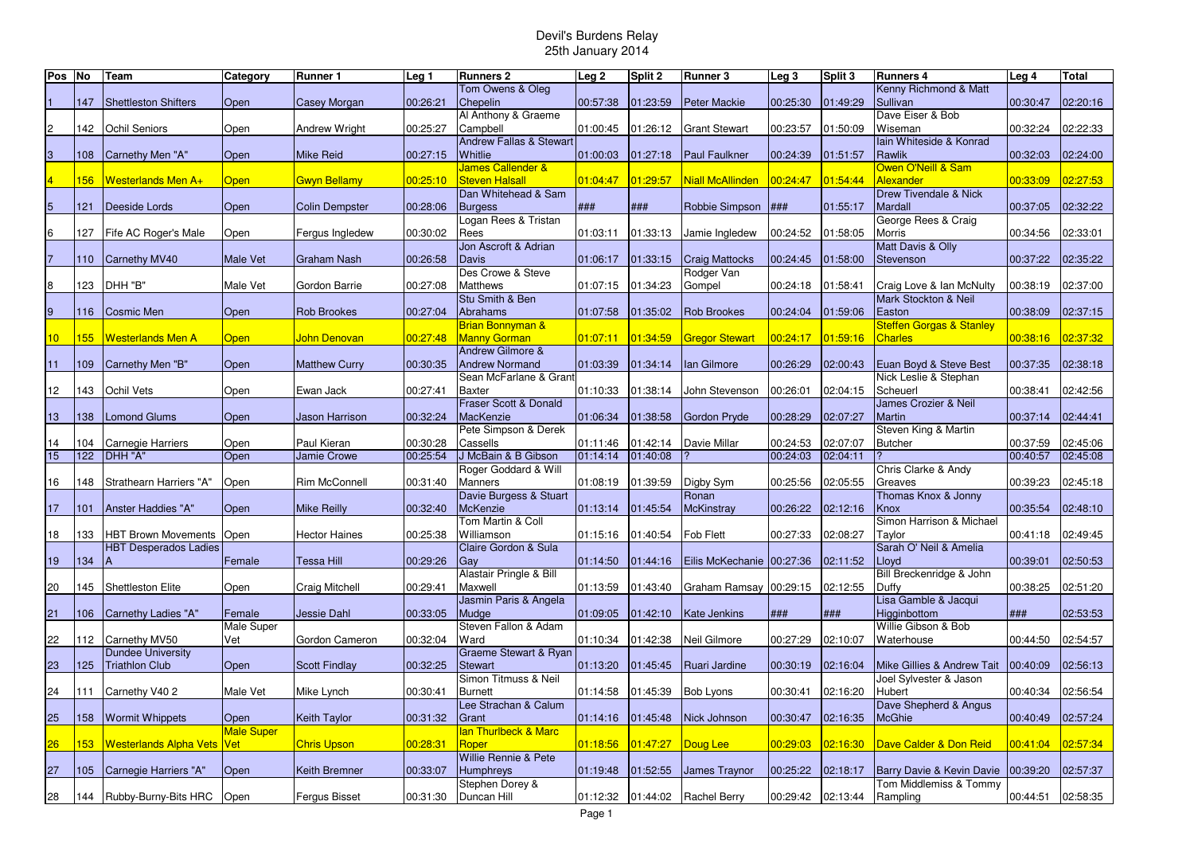| Pos <sub>No</sub> |     | Team                              | Category          | Runner 1              | Leg 1    | <b>Runners 2</b>                | Leg <sub>2</sub> | Split 2  | <b>Runner 3</b>           | Leg <sub>3</sub> | Split 3  | <b>Runners 4</b>                    | Leg 4    | <b>Total</b> |
|-------------------|-----|-----------------------------------|-------------------|-----------------------|----------|---------------------------------|------------------|----------|---------------------------|------------------|----------|-------------------------------------|----------|--------------|
|                   |     |                                   |                   |                       |          | Tom Owens & Oleg                |                  |          |                           |                  |          | Kenny Richmond & Matt               |          |              |
|                   | 147 | <b>Shettleston Shifters</b>       | Open              | Casey Morgan          | 00:26:21 | Chepelin                        | 00:57:38         | 01:23:59 | <b>Peter Mackie</b>       | 00:25:30         | 01:49:29 | Sullivan                            | 00:30:47 | 02:20:16     |
|                   |     |                                   |                   |                       |          | Al Anthony & Graeme             |                  |          |                           |                  |          | Dave Eiser & Bob                    |          |              |
| $\overline{c}$    | 142 | <b>Ochil Seniors</b>              | Open              | Andrew Wright         | 00:25:27 | Campbell                        | 01:00:45         | 01:26:12 | <b>Grant Stewart</b>      | 00:23:57         | 01:50:09 | Wiseman                             | 00:32:24 | 02:22:33     |
|                   |     |                                   |                   |                       |          | Andrew Fallas & Stewart         |                  |          |                           |                  |          | lain Whiteside & Konrad             |          |              |
| $\overline{3}$    | 108 | Carnethy Men "A"                  | Open              | <b>Mike Reid</b>      | 00:27:15 | <b>Whitlie</b>                  | 01:00:03         | 01:27:18 | <b>Paul Faulkner</b>      | 00:24:39         | 01:51:57 | Rawlik                              | 00:32:03 | 02:24:00     |
|                   |     |                                   |                   |                       |          | <b>James Callender &amp;</b>    |                  |          |                           |                  |          | Owen O'Neill & Sam                  |          |              |
|                   | 156 | Westerlands Men A+                | <b>Open</b>       | <b>Gwyn Bellamy</b>   | 00:25:10 | <b>Steven Halsall</b>           | 01:04:47         | 01:29:57 | Niall McAllinden          | 00:24:47         | 01:54:44 | Alexander                           | 00:33:09 | 02:27:53     |
|                   |     |                                   |                   |                       |          | Dan Whitehead & Sam             |                  |          |                           |                  |          | <b>Drew Tivendale &amp; Nick</b>    |          |              |
| $\overline{5}$    | 121 | Deeside Lords                     | Open              | <b>Colin Dempster</b> | 00:28:06 | <b>Burgess</b>                  | ###              | ###      | Robbie Simpson            | ###              | 01:55:17 | Mardall                             | 00:37:05 | 02:32:22     |
|                   |     |                                   |                   |                       |          | Logan Rees & Tristan            |                  |          |                           |                  |          | George Rees & Craig                 |          |              |
| 6                 | 127 | Fife AC Roger's Male              | Open              | Fergus Ingledew       | 00:30:02 | Rees                            | 01:03:11         | 01:33:13 | Jamie Ingledew            | 00:24:52         | 01:58:05 | Morris                              | 00:34:56 | 02:33:01     |
|                   |     |                                   |                   |                       |          | Jon Ascroft & Adrian            |                  |          |                           |                  |          | Matt Davis & Olly                   |          |              |
| 17                | 110 | Carnethy MV40                     | <b>Male Vet</b>   | <b>Graham Nash</b>    | 00:26:58 | Davis                           | 01:06:17         | 01:33:15 | <b>Craig Mattocks</b>     | 00:24:45         | 01:58:00 | Stevenson                           | 00:37:22 | 02:35:22     |
|                   |     |                                   |                   |                       |          | Des Crowe & Steve               |                  |          | Rodger Van                |                  |          |                                     |          |              |
| 8                 | 123 | DHH "B"                           | Male Vet          | Gordon Barrie         | 00:27:08 | <b>Matthews</b>                 | 01:07:15         | 01:34:23 | Gompel                    | 00:24:18         | 01:58:41 | Craig Love & Ian McNulty            | 00:38:19 | 02:37:00     |
|                   |     |                                   |                   |                       |          | Stu Smith & Ben                 |                  |          |                           |                  |          | Mark Stockton & Neil                |          |              |
| $\overline{9}$    | 116 | Cosmic Men                        | Open              | <b>Rob Brookes</b>    | 00:27:04 | Abrahams                        | 01:07:58         | 01:35:02 | <b>Rob Brookes</b>        | 00:24:04         | 01:59:06 | Easton                              | 00:38:09 | 02:37:15     |
|                   |     |                                   |                   |                       |          | <b>Brian Bonnyman &amp;</b>     |                  |          |                           |                  |          | <b>Steffen Gorgas &amp; Stanley</b> |          |              |
| 10 <sup>°</sup>   | 155 | Westerlands Men A                 | <b>Open</b>       | John Denovan          | 00:27:48 | <b>Manny Gorman</b>             | 01:07:11         | 01:34:59 | <b>Gregor Stewart</b>     | 00:24:17         | 01:59:16 | <b>Charles</b>                      | 00:38:16 | 02:37:32     |
|                   |     |                                   |                   |                       |          | Andrew Gilmore &                |                  |          |                           |                  |          |                                     |          |              |
| 11                | 109 | Carnethy Men "B"                  | Open              | <b>Matthew Curry</b>  | 00:30:35 | <b>Andrew Normand</b>           | 01:03:39         | 01:34:14 | lan Gilmore               | 00:26:29         | 02:00:43 | Euan Boyd & Steve Best              | 00:37:35 | 02:38:18     |
|                   |     |                                   |                   |                       |          | Sean McFarlane & Grant          |                  |          |                           |                  |          | Nick Leslie & Stephan               |          |              |
| 12                | 143 | Ochil Vets                        | Open              | Ewan Jack             | 00:27:41 | <b>Baxter</b>                   | 01:10:33         | 01:38:14 | John Stevenson            | 00:26:01         | 02:04:15 | Scheuerl                            | 00:38:41 | 02:42:56     |
|                   |     |                                   |                   |                       |          | Fraser Scott & Donald           |                  |          |                           |                  |          | James Crozier & Neil                |          |              |
| 13                | 138 | <b>Lomond Glums</b>               | Open              | <b>Jason Harrison</b> | 00:32:24 | MacKenzie                       | 01:06:34         | 01:38:58 | <b>Gordon Pryde</b>       | 00:28:29         | 02:07:27 | <b>Martin</b>                       | 00:37:14 | 02:44:41     |
|                   |     |                                   |                   |                       |          | Pete Simpson & Derek            |                  |          |                           |                  |          | Steven King & Martin                |          |              |
| 14                | 104 | Carnegie Harriers                 | Open              | Paul Kieran           | 00:30:28 | Cassells                        | 01:11:46         | 01:42:14 | Davie Millar              | 00:24:53         | 02:07:07 | <b>Butcher</b>                      | 00:37:59 | 02:45:06     |
| 15                | 122 | DHH "A"                           | Open              | <b>Jamie Crowe</b>    | 00:25:54 | J McBain & B Gibson             | 01:14:14         | 01:40:08 |                           | 00:24:03         | 02:04:11 |                                     | 00:40:57 | 02:45:08     |
|                   |     |                                   |                   |                       |          | Roger Goddard & Will            |                  |          |                           |                  |          | Chris Clarke & Andy                 |          |              |
| 16                | 148 | Strathearn Harriers "A"           | Open              | Rim McConnell         | 00:31:40 | <b>Manners</b>                  | 01:08:19         | 01:39:59 | Digby Sym                 | 00:25:56         | 02:05:55 | Greaves                             | 00:39:23 | 02:45:18     |
|                   |     |                                   |                   |                       |          | Davie Burgess & Stuart          |                  |          | Ronan                     |                  |          | Thomas Knox & Jonny                 |          |              |
| 17                | 101 | Anster Haddies "A"                | Open              | <b>Mike Reilly</b>    | 00:32:40 | <b>McKenzie</b>                 | 01:13:14         | 01:45:54 | <b>McKinstray</b>         | 00:26:22         | 02:12:16 | Knox                                | 00:35:54 | 02:48:10     |
|                   |     |                                   |                   |                       |          | Tom Martin & Coll               |                  |          |                           |                  |          | Simon Harrison & Michael            |          |              |
| 18                | 133 | HBT Brown Movements               | Open              | <b>Hector Haines</b>  | 00:25:38 | Williamson                      | 01:15:16         | 01:40:54 | Fob Flett                 | 00:27:33         | 02:08:27 | Taylor                              | 00:41:18 | 02:49:45     |
|                   |     | <b>HBT Desperados Ladies</b>      |                   |                       |          | Claire Gordon & Sula            |                  |          |                           |                  |          | Sarah O' Neil & Amelia              |          |              |
| 19                | 134 | А                                 | Female            | Tessa Hill            | 00:29:26 | Gay                             | 01:14:50         | 01:44:16 | Eilis McKechanie 00:27:36 |                  | 02:11:52 | Lloyd                               | 00:39:01 | 02:50:53     |
|                   |     |                                   |                   |                       |          | Alastair Pringle & Bill         |                  |          |                           |                  |          | Bill Breckenridge & John            |          |              |
| 20                | 145 | Shettleston Elite                 | Open              | Craig Mitchell        | 00:29:41 | Maxwell                         | 01:13:59         | 01:43:40 | Graham Ramsay 00:29:15    |                  | 02:12:55 | Duffy                               | 00:38:25 | 02:51:20     |
|                   |     |                                   |                   |                       |          | Jasmin Paris & Angela           |                  |          |                           |                  |          | Lisa Gamble & Jacqui                |          |              |
| 21                | 106 | Carnethy Ladies "A"               | Female            | Jessie Dahl           | 00:33:05 | Mudge                           | 01:09:05         | 01:42:10 | Kate Jenkins              | ###              | ###      | Higginbottom                        | ###      | 02:53:53     |
|                   |     |                                   | Male Super        |                       |          | Steven Fallon & Adam            |                  |          |                           |                  |          | Willie Gibson & Bob                 |          |              |
| 22                | 112 | Carnethy MV50                     | Vet               | Gordon Cameron        | 00:32:04 | Ward                            | 01:10:34         | 01:42:38 | Neil Gilmore              | 00:27:29         | 02:10:07 | Waterhouse                          | 00:44:50 | 02:54:57     |
|                   |     | <b>Dundee University</b>          |                   |                       |          | Graeme Stewart & Ryan           |                  |          |                           |                  |          |                                     |          |              |
| 23                | 125 | <b>Triathlon Club</b>             | Open              | <b>Scott Findlay</b>  | 00:32:25 | <b>Stewart</b>                  | 01:13:20         | 01:45:45 | Ruari Jardine             | 00:30:19         | 02:16:04 | Mike Gillies & Andrew Tait          | 00:40:09 | 02:56:13     |
|                   |     |                                   |                   |                       |          | Simon Titmuss & Neil            |                  |          |                           |                  |          | Joel Sylvester & Jason              |          |              |
| 24                | 111 | Carnethy V40 2                    | Male Vet          | Mike Lynch            | 00:30:41 | <b>Burnett</b>                  | 01:14:58         | 01:45:39 | <b>Bob Lyons</b>          | 00:30:41         | 02:16:20 | Hubert                              | 00:40:34 | 02:56:54     |
|                   |     |                                   |                   |                       |          | Lee Strachan & Calum            |                  |          |                           |                  |          | Dave Shepherd & Angus               |          |              |
| 25                | 158 | <b>Wormit Whippets</b>            | Open              | <b>Keith Taylor</b>   | 00:31:32 | Grant                           | 01:14:16         | 01:45:48 | Nick Johnson              | 00:30:47         | 02:16:35 | McGhie                              | 00:40:49 | 02:57:24     |
|                   |     |                                   | <b>Male Super</b> |                       |          | <b>Ian Thurlbeck &amp; Marc</b> |                  |          |                           |                  |          |                                     |          |              |
| 26                | 153 | Westerlands Alpha Vets            | Vet               | <b>Chris Upson</b>    | 00:28:31 | Roper                           | 01:18:56         | 01:47:27 | Doug Lee                  | 00:29:03         | 02:16:30 | Dave Calder & Don Reid              | 00:41:04 | 02:57:34     |
|                   |     |                                   |                   |                       |          | Willie Rennie & Pete            |                  |          |                           |                  |          |                                     |          |              |
| 27                | 105 | Carnegie Harriers "A"             | Open              | Keith Bremner         | 00:33:07 | Humphreys                       | 01:19:48         | 01:52:55 | James Traynor             | 00:25:22         | 02:18:17 | Barry Davie & Kevin Davie           | 00:39:20 | 02:57:37     |
|                   |     |                                   |                   |                       |          | Stephen Dorey &                 |                  |          |                           |                  |          | Tom Middlemiss & Tommy              |          |              |
| 28                |     | 144   Rubby-Burny-Bits HRC   Open |                   | <b>Fergus Bisset</b>  | 00:31:30 | Duncan Hill                     | 01:12:32         |          | 01:44:02 Rachel Berry     | 00:29:42         | 02:13:44 | Rampling                            | 00:44:51 | 02:58:35     |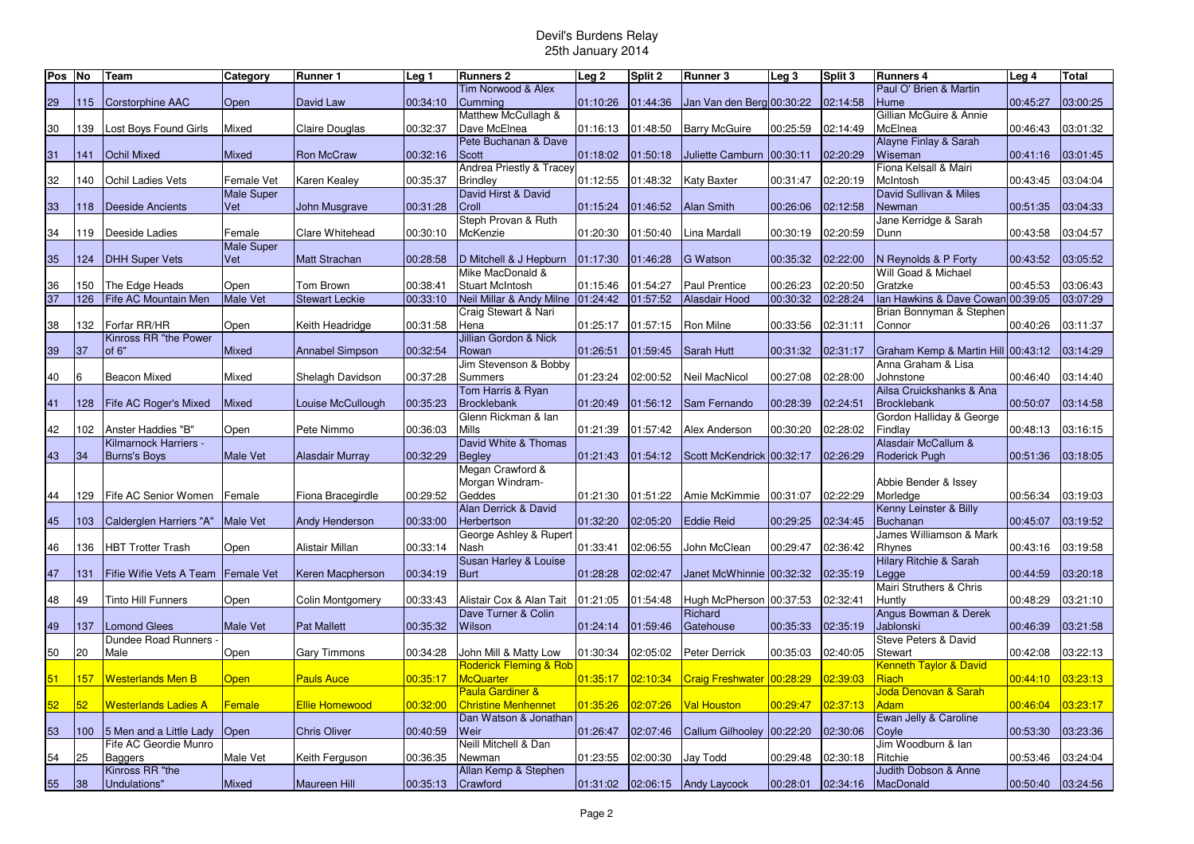| Pos No |     | Team                       | Category                    | Runner 1               | Leg 1    | <b>Runners 2</b>                  | Leg <sub>2</sub> | Split 2  | <b>Runner 3</b>                | Leg <sub>3</sub> | Split 3  | <b>Runners 4</b>                   | Leg 4              | <b>Total</b> |
|--------|-----|----------------------------|-----------------------------|------------------------|----------|-----------------------------------|------------------|----------|--------------------------------|------------------|----------|------------------------------------|--------------------|--------------|
|        |     |                            |                             |                        |          | Tim Norwood & Alex                |                  |          |                                |                  |          | Paul O' Brien & Martin             |                    |              |
| 29     | 115 | Corstorphine AAC           | Open                        | David Law              | 00:34:10 | Cumming                           | 01:10:26         | 01:44:36 | Jan Van den Berg 00:30:22      |                  | 02:14:58 | Hume                               | 00:45:27           | 03:00:25     |
|        |     |                            |                             |                        |          | Matthew McCullagh &               |                  |          |                                |                  |          | Gillian McGuire & Annie            |                    |              |
| 30     | 139 | Lost Boys Found Girls      | Mixed                       | Claire Douglas         | 00:32:37 | Dave McElnea                      | 01:16:13         | 01:48:50 | <b>Barry McGuire</b>           | 00:25:59         | 02:14:49 | McElnea                            | 00:46:43           | 03:01:32     |
|        |     |                            |                             |                        |          | Pete Buchanan & Dave              |                  |          |                                |                  |          | Alayne Finlay & Sarah              |                    |              |
| 31     | 141 | <b>Ochil Mixed</b>         | <b>Mixed</b>                | <b>Ron McCraw</b>      | 00:32:16 | Scott                             | 01:18:02         | 01:50:18 | Juliette Camburn 00:30:11      |                  | 02:20:29 | Wiseman                            | 00:41:16           | 03:01:45     |
|        |     |                            |                             |                        |          | Andrea Priestly & Tracey          |                  |          |                                |                  |          | Fiona Kelsall & Mairi              |                    |              |
| 32     | 140 | Ochil Ladies Vets          | Female Vet                  | Karen Kealey           | 00:35:37 | <b>Brindley</b>                   | 01:12:55         | 01:48:32 | Katy Baxter                    | 00:31:47         | 02:20:19 | McIntosh                           | 00:43:45           | 03:04:04     |
|        |     |                            | <b>Male Super</b>           |                        |          | David Hirst & David               |                  |          |                                |                  |          | David Sullivan & Miles             |                    |              |
| 33     | 118 | <b>Deeside Ancients</b>    | Vet                         | <b>John Musgrave</b>   | 00:31:28 | Croll                             | 01:15:24         | 01:46:52 | <b>Alan Smith</b>              | 00:26:06         | 02:12:58 | Newman                             | 00:51:35           | 03:04:33     |
|        |     |                            |                             |                        |          | Steph Provan & Ruth               |                  |          |                                |                  |          | Jane Kerridge & Sarah              |                    |              |
| 34     | 119 | Deeside Ladies             | Female<br><b>Male Super</b> | Clare Whitehead        | 00:30:10 | McKenzie                          | 01:20:30         | 01:50:40 | ina Mardall                    | 00:30:19         | 02:20:59 | Dunn                               | 00:43:58           | 03:04:57     |
| 35     | 124 | <b>DHH Super Vets</b>      | Vet                         | <b>Matt Strachan</b>   | 00:28:58 | D Mitchell & J Hepburn            | 01:17:30         | 01:46:28 | <b>G</b> Watson                | 00:35:32         | 02:22:00 | N Reynolds & P Forty               | 00:43:52           | 03:05:52     |
|        |     |                            |                             |                        |          | Mike MacDonald &                  |                  |          |                                |                  |          | Will Goad & Michael                |                    |              |
| 36     | 150 | The Edge Heads             | Open                        | Tom Brown              | 00:38:41 | <b>Stuart McIntosh</b>            | 01:15:46         | 01:54:27 | <b>Paul Prentice</b>           | 00:26:23         | 02:20:50 | Gratzke                            | 00:45:53           | 03:06:43     |
| 37     | 126 | Fife AC Mountain Men       | <b>Male Vet</b>             | <b>Stewart Leckie</b>  | 00:33:10 | Neil Millar & Andy Milne          | 01:24:42         | 01:57:52 | Alasdair Hood                  | 00:30:32         | 02:28:24 | Ian Hawkins & Dave Cowan 00:39:05  |                    | 03:07:29     |
|        |     |                            |                             |                        |          | Craig Stewart & Nari              |                  |          |                                |                  |          | Brian Bonnyman & Stephen           |                    |              |
| 38     | 132 | Forfar RR/HR               | Open                        | Keith Headridge        | 00:31:58 | Hena                              | 01:25:17         | 01:57:15 | Ron Milne                      | 00:33:56         | 02:31:11 | Connor                             | 00:40:26           | 03:11:37     |
|        |     | Kinross RR "the Power      |                             |                        |          | Jillian Gordon & Nick             |                  |          |                                |                  |          |                                    |                    |              |
| 39     | 37  | of 6"                      | Mixed                       | <b>Annabel Simpson</b> | 00:32:54 | Rowan                             | 01:26:51         | 01:59:45 | <b>Sarah Hutt</b>              | 00:31:32         | 02:31:17 | Graham Kemp & Martin Hill 00:43:12 |                    | 03:14:29     |
|        |     |                            |                             |                        |          | Jim Stevenson & Bobby             |                  |          |                                |                  |          | Anna Graham & Lisa                 |                    |              |
| 40     | 6   | <b>Beacon Mixed</b>        | Mixed                       | Shelagh Davidson       | 00:37:28 | Summers                           | 01:23:24         | 02:00:52 | Neil MacNicol                  | 00:27:08         | 02:28:00 | Johnstone                          | 00:46:40           | 03:14:40     |
|        |     |                            |                             |                        |          | Tom Harris & Ryan                 |                  |          |                                |                  |          | Ailsa Cruickshanks & Ana           |                    |              |
| 41     | 128 | Fife AC Roger's Mixed      | Mixed                       | Louise McCullough      | 00:35:23 | <b>Brocklebank</b>                | 01:20:49         | 01:56:12 | Sam Fernando                   | 00:28:39         | 02:24:51 | <b>Brocklebank</b>                 | 00:50:07           | 03:14:58     |
|        |     |                            |                             |                        |          | Glenn Rickman & lan               |                  |          |                                |                  |          | Gordon Halliday & George           |                    |              |
| 42     | 102 | Anster Haddies "B"         | Open                        | Pete Nimmo             | 00:36:03 | <b>Mills</b>                      | 01:21:39         | 01:57:42 | Alex Anderson                  | 00:30:20         | 02:28:02 | Findlay                            | 00:48:13           | 03:16:15     |
|        |     | Kilmarnock Harriers -      |                             |                        |          | David White & Thomas              |                  |          |                                |                  |          | Alasdair McCallum &                |                    |              |
| 43     | 34  | Burns's Boys               | <b>Male Vet</b>             | <b>Alasdair Murray</b> | 00:32:29 | <b>Bealey</b>                     | 01:21:43         | 01:54:12 | Scott McKendrick 00:32:17      |                  | 02:26:29 | Roderick Pugh                      | 00:51:36           | 03:18:05     |
|        |     |                            |                             |                        |          | Megan Crawford &                  |                  |          |                                |                  |          |                                    |                    |              |
|        |     |                            |                             |                        |          | Morgan Windram-                   |                  |          |                                |                  |          | Abbie Bender & Issey               |                    |              |
| 44     | 129 | Fife AC Senior Women       | Female                      | Fiona Bracegirdle      | 00:29:52 | Geddes<br>Alan Derrick & David    | 01:21:30         | 01:51:22 | Amie McKimmie                  | 00:31:07         | 02:22:29 | Morledge<br>Kenny Leinster & Billy | 00:56:34           | 03:19:03     |
| 45     | 103 | Calderglen Harriers "A"    | <b>Male Vet</b>             | <b>Andy Henderson</b>  | 00:33:00 | <b>Herbertson</b>                 | 01:32:20         | 02:05:20 | <b>Eddie Reid</b>              | 00:29:25         | 02:34:45 | <b>Buchanan</b>                    | 00:45:07           | 03:19:52     |
|        |     |                            |                             |                        |          | George Ashley & Rupert            |                  |          |                                |                  |          | James Williamson & Mark            |                    |              |
| 46     | 136 | <b>HBT Trotter Trash</b>   | Open                        | Alistair Millan        | 00:33:14 | Nash                              | 01:33:41         | 02:06:55 | John McClean                   | 00:29:47         | 02:36:42 | Rhynes                             | 00:43:16           | 03:19:58     |
|        |     |                            |                             |                        |          | Susan Harley & Louise             |                  |          |                                |                  |          | Hilary Ritchie & Sarah             |                    |              |
| 47     | 131 | Fifie Wifie Vets A Team    | <b>Female Vet</b>           | Keren Macpherson       | 00:34:19 | <b>Burt</b>                       | 01:28:28         | 02:02:47 | Janet McWhinnie 00:32:32       |                  | 02:35:19 | Legge                              | 00:44:59           | 03:20:18     |
|        |     |                            |                             |                        |          |                                   |                  |          |                                |                  |          | Mairi Struthers & Chris            |                    |              |
| 48     | 49  | <b>Tinto Hill Funners</b>  | Open                        | Colin Montgomery       | 00:33:43 | Alistair Cox & Alan Tait          | 01:21:05         | 01:54:48 | Hugh McPherson 00:37:53        |                  | 02:32:41 | Huntly                             | 00:48:29           | 03:21:10     |
|        |     |                            |                             |                        |          | Dave Turner & Colin               |                  |          | Richard                        |                  |          | Angus Bowman & Derek               |                    |              |
| 49     | 137 | <b>Lomond Glees</b>        | <b>Male Vet</b>             | <b>Pat Mallett</b>     | 00:35:32 | Wilson                            | 01:24:14         | 01:59:46 | Gatehouse                      | 00:35:33         | 02:35:19 | Jablonski                          | 00:46:39           | 03:21:58     |
|        |     | Dundee Road Runners        |                             |                        |          |                                   |                  |          |                                |                  |          | Steve Peters & David               |                    |              |
| 50     | 20  | Male                       | Open                        | <b>Gary Timmons</b>    | 00:34:28 | John Mill & Matty Low             | 01:30:34         | 02:05:02 | Peter Derrick                  | 00:35:03         | 02:40:05 | Stewart                            | 00:42:08           | 03:22:13     |
|        |     |                            |                             |                        |          | <b>Roderick Fleming &amp; Rob</b> |                  |          |                                |                  |          | <b>Kenneth Taylor &amp; David</b>  |                    |              |
| 51     | 157 | Westerlands Men B          | <b>Open</b>                 | Pauls Auce             | 00:35:17 | <b>McQuarter</b>                  | 01:35:17         | 02:10:34 | Craig Freshwater 00:28:29      |                  | 02:39:03 | Riach                              | 00:44:10           | 03:23:13     |
|        |     |                            |                             |                        |          | Paula Gardiner &                  |                  |          |                                |                  |          | Joda Denovan & Sarah               |                    |              |
| 52     | 52  | Westerlands Ladies A       | <u>Female</u>               | <b>Ellie Homewood</b>  | 00:32:00 | <b>Christine Menhennet</b>        | 01:35:26         | 02:07:26 | <b>Val Houston</b>             | 00:29:47         | 02:37:13 | Adam                               | 00:46:04           | 03:23:17     |
|        |     |                            |                             |                        |          | Dan Watson & Jonathan             |                  |          |                                |                  |          | Ewan Jelly & Caroline              |                    |              |
| 53     | 100 | 5 Men and a Little Lady    | Open                        | <b>Chris Oliver</b>    | 00:40:59 | Weir                              | 01:26:47         | 02:07:46 | Callum Gilhooley 00:22:20      |                  | 02:30:06 | Coyle                              | 00:53:30           | 03:23:36     |
|        | 25  | Fife AC Geordie Munro      |                             |                        |          | Neill Mitchell & Dan<br>Newman    | 01:23:55         |          |                                | 00:29:48         | 02:30:18 | Jim Woodburn & lan<br>Ritchie      |                    | 03:24:04     |
| 54     |     | Baggers<br>Kinross RR "the | Male Vet                    | Keith Ferguson         | 00:36:35 | Allan Kemp & Stephen              |                  | 02:00:30 | Jay Todd                       |                  |          | Judith Dobson & Anne               | 00:53:46           |              |
| 55     | 38  | Undulations"               | Mixed                       | <b>Maureen Hill</b>    | 00:35:13 | Crawford                          |                  |          | 01:31:02 02:06:15 Andy Laycock | 00:28:01         | 02:34:16 | MacDonald                          | 00:50:40  03:24:56 |              |
|        |     |                            |                             |                        |          |                                   |                  |          |                                |                  |          |                                    |                    |              |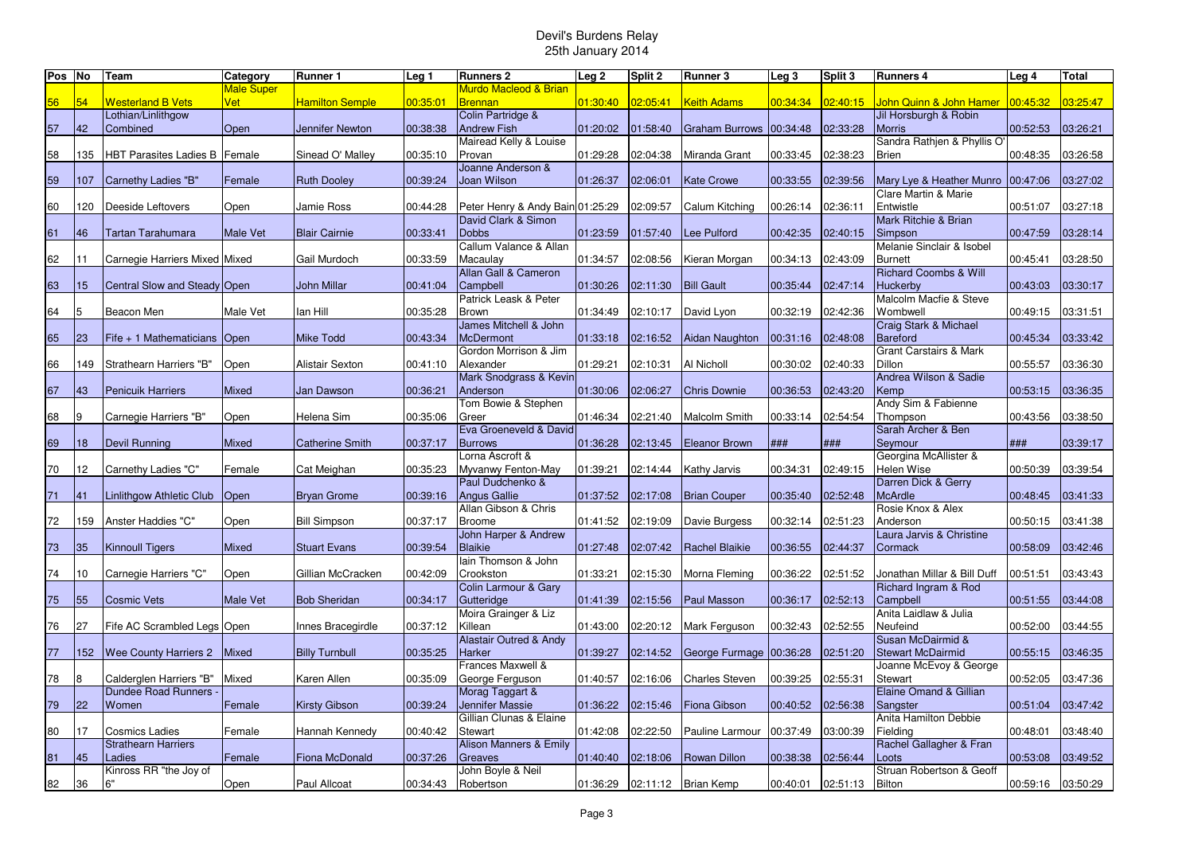| Pos No |     | Team                           | Category        | <b>Runner 1</b>        | Leg <sub>1</sub> | <b>Runners 2</b>                  | Leg <sub>2</sub> | Split 2  | Runner 3                | Leg <sub>3</sub> | Split 3  | <b>Runners 4</b>                     | Leg 4             | <b>Total</b> |
|--------|-----|--------------------------------|-----------------|------------------------|------------------|-----------------------------------|------------------|----------|-------------------------|------------------|----------|--------------------------------------|-------------------|--------------|
|        |     |                                | Male Super      |                        |                  | Murdo Macleod & Brian             |                  |          |                         |                  |          |                                      |                   |              |
| 56     | 54  | <b>Westerland B Vets</b>       | Vet             | <b>Hamilton Semple</b> | 00:35:01         | <b>Brennan</b>                    | 01:30:40         | 02:05:41 | Keith Adams             | 00:34:34         | 02:40:15 | John Quinn & John Hamer              | 00:45:32          | 03:25:47     |
|        |     | Lothian/Linlithgow             |                 |                        |                  | Colin Partridge &                 |                  |          |                         |                  |          | Jil Horsburgh & Robin                |                   |              |
| 57     | 42  | Combined                       | Open            | Jennifer Newton        | 00:38:38         | <b>Andrew Fish</b>                | 01:20:02         | 01:58:40 | <b>Graham Burrows</b>   | 00:34:48         | 02:33:28 | <b>Morris</b>                        | 00:52:53          | 03:26:21     |
|        |     |                                |                 |                        |                  | Mairead Kelly & Louise            |                  |          |                         |                  |          | Sandra Rathjen & Phyllis O'          |                   |              |
| 58     | 135 | <b>HBT Parasites Ladies B</b>  | Female          | Sinead O' Malley       | 00:35:10         | Provan                            | 01:29:28         | 02:04:38 | Miranda Grant           | 00:33:45         | 02:38:23 | <b>Brien</b>                         | 00:48:35          | 03:26:58     |
|        |     |                                |                 |                        |                  | Joanne Anderson &                 |                  |          |                         |                  |          |                                      |                   |              |
| 59     | 107 | Carnethy Ladies "B"            | Female          | <b>Ruth Dooley</b>     | 00:39:24         | Joan Wilson                       | 01:26:37         | 02:06:01 | <b>Kate Crowe</b>       | 00:33:55         | 02:39:56 | Mary Lye & Heather Munro   00:47:06  |                   | 03:27:02     |
|        |     |                                |                 |                        |                  |                                   |                  |          |                         |                  |          | Clare Martin & Marie                 |                   |              |
| 60     | 120 | Deeside Leftovers              | Open            | Jamie Ross             | 00:44:28         | Peter Henry & Andy Bain 01:25:29  |                  | 02:09:57 | Calum Kitching          | 00:26:14         | 02:36:11 | Entwistle                            | 00:51:07          | 03:27:18     |
|        |     |                                |                 |                        |                  | David Clark & Simon               |                  |          |                         |                  |          | Mark Ritchie & Brian                 |                   |              |
| 61     | 46  |                                | <b>Male Vet</b> | <b>Blair Cairnie</b>   | 00:33:41         | <b>Dobbs</b>                      | 01:23:59         |          | Lee Pulford             | 00:42:35         | 02:40:15 |                                      |                   | 03:28:14     |
|        |     | Tartan Tarahumara              |                 |                        |                  | Callum Valance & Allan            |                  | 01:57:40 |                         |                  |          | Simpson<br>Melanie Sinclair & Isobel | 00:47:59          |              |
|        |     |                                |                 |                        |                  |                                   |                  |          |                         |                  |          |                                      |                   |              |
| 62     | 11  | Carnegie Harriers Mixed Mixed  |                 | Gail Murdoch           | 00:33:59         | Macaulay                          | 01:34:57         | 02:08:56 | Kieran Morgan           | 00:34:13         | 02:43:09 | <b>Burnett</b>                       | 00:45:41          | 03:28:50     |
|        |     |                                |                 |                        |                  | Allan Gall & Cameron              |                  |          |                         |                  |          | <b>Richard Coombs &amp; Will</b>     |                   |              |
| 63     | 15  | Central Slow and Steady Open   |                 | <b>John Millar</b>     | 00:41:04         | Campbell                          | 01:30:26         | 02:11:30 | <b>Bill Gault</b>       | 00:35:44         | 02:47:14 | Huckerby                             | 00:43:03          | 03:30:17     |
|        |     |                                |                 |                        |                  | Patrick Leask & Peter             |                  |          |                         |                  |          | Malcolm Macfie & Steve               |                   |              |
| 64     | 5   | Beacon Men                     | Male Vet        | lan Hill               | 00:35:28         | Brown                             | 01:34:49         | 02:10:17 | David Lyon              | 00:32:19         | 02:42:36 | Wombwell                             | 00:49:15          | 03:31:51     |
|        |     |                                |                 |                        |                  | James Mitchell & John             |                  |          |                         |                  |          | Craig Stark & Michael                |                   |              |
| 65     | 23  | Fife + 1 Mathematicians   Open |                 | <b>Mike Todd</b>       | 00:43:34         | <b>McDermont</b>                  | 01:33:18         | 02:16:52 | Aidan Naughton          | 00:31:16         | 02:48:08 | Bareford                             | 00:45:34          | 03:33:42     |
|        |     |                                |                 |                        |                  | Gordon Morrison & Jim             |                  |          |                         |                  |          | <b>Grant Carstairs &amp; Mark</b>    |                   |              |
| 66     | 149 | Strathearn Harriers "B"        | Open            | Alistair Sexton        | 00:41:10         | Alexander                         | 01:29:21         | 02:10:31 | Al Nicholl              | 00:30:02         | 02:40:33 | <b>Dillon</b>                        | 00:55:57          | 03:36:30     |
|        |     |                                |                 |                        |                  | Mark Snodgrass & Kevin            |                  |          |                         |                  |          | Andrea Wilson & Sadie                |                   |              |
| 67     | 43  | <b>Penicuik Harriers</b>       | <b>Mixed</b>    | Jan Dawson             | 00:36:21         | Anderson                          | 01:30:06         | 02:06:27 | <b>Chris Downie</b>     | 00:36:53         | 02:43:20 | Kemp                                 | 00:53:15          | 03:36:35     |
|        |     |                                |                 |                        |                  | Tom Bowie & Stephen               |                  |          |                         |                  |          | Andy Sim & Fabienne                  |                   |              |
| 68     | 9   | Carnegie Harriers "B"          | Open            | Helena Sim             | 00:35:06         | Greer                             | 01:46:34         | 02:21:40 | Malcolm Smith           | 00:33:14         | 02:54:54 | Thompson                             | 00:43:56          | 03:38:50     |
|        |     |                                |                 |                        |                  | Eva Groeneveld & David            |                  |          |                         |                  |          | Sarah Archer & Ben                   |                   |              |
| 69     | 18  | <b>Devil Running</b>           | Mixed           | <b>Catherine Smith</b> | 00:37:17         | <b>Burrows</b>                    | 01:36:28         | 02:13:45 | <b>Eleanor Brown</b>    | ###              | ###      | Seymour                              | ###               | 03:39:17     |
|        |     |                                |                 |                        |                  | Lorna Ascroft &                   |                  |          |                         |                  |          | Georgina McAllister &                |                   |              |
| 70     | 12  | Carnethy Ladies "C"            | Female          | Cat Meighan            | 00:35:23         | Myvanwy Fenton-May                | 01:39:21         | 02:14:44 | Kathy Jarvis            | 00:34:31         | 02:49:15 | <b>Helen Wise</b>                    | 00:50:39          | 03:39:54     |
|        |     |                                |                 |                        |                  | Paul Dudchenko &                  |                  |          |                         |                  |          | Darren Dick & Gerry                  |                   |              |
| 71     | 41  | Linlithgow Athletic Club       | Open            | <b>Bryan Grome</b>     | 00:39:16         | <b>Angus Gallie</b>               | 01:37:52         | 02:17:08 | <b>Brian Couper</b>     | 00:35:40         | 02:52:48 | <b>McArdle</b>                       | 00:48:45          | 03:41:33     |
|        |     |                                |                 |                        |                  | Allan Gibson & Chris              |                  |          |                         |                  |          | Rosie Knox & Alex                    |                   |              |
| 72     | 159 | Anster Haddies "C"             | Open            | <b>Bill Simpson</b>    | 00:37:17         | Broome                            | 01:41:52         | 02:19:09 | Davie Burgess           | 00:32:14         | 02:51:23 | Anderson                             | 00:50:15          | 03:41:38     |
|        |     |                                |                 |                        |                  | John Harper & Andrew              |                  |          |                         |                  |          | Laura Jarvis & Christine             |                   |              |
| 73     | 35  | <b>Kinnoull Tigers</b>         | <b>Mixed</b>    | <b>Stuart Evans</b>    | 00:39:54         | <b>Blaikie</b>                    | 01:27:48         | 02:07:42 | Rachel Blaikie          | 00:36:55         | 02:44:37 | Cormack                              | 00:58:09          | 03:42:46     |
|        |     |                                |                 |                        |                  | lain Thomson & John               |                  |          |                         |                  |          |                                      |                   |              |
| 74     | 10  | Carnegie Harriers "C"          | Open            | Gillian McCracken      | 00:42:09         | Crookston                         | 01:33:21         | 02:15:30 | Morna Fleming           | 00:36:22         | 02:51:52 | Jonathan Millar & Bill Duff          | 00:51:51          | 03:43:43     |
|        |     |                                |                 |                        |                  | Colin Larmour & Gary              |                  |          |                         |                  |          | Richard Ingram & Rod                 |                   |              |
| 75     | 55  | <b>Cosmic Vets</b>             | Male Vet        | <b>Bob Sheridan</b>    | 00:34:17         | Gutteridge                        | 01:41:39         | 02:15:56 | <b>Paul Masson</b>      | 00:36:17         | 02:52:13 | Campbell                             | 00:51:55          | 03:44:08     |
|        |     |                                |                 |                        |                  | Moira Grainger & Liz              |                  |          |                         |                  |          | Anita Laidlaw & Julia                |                   |              |
| 76     | 27  | Fife AC Scrambled Legs Open    |                 | Innes Bracegirdle      | 00:37:12         | Killean                           | 01:43:00         | 02:20:12 | Mark Ferguson           | 00:32:43         | 02:52:55 | Neufeind                             | 00:52:00          | 03:44:55     |
|        |     |                                |                 |                        |                  | <b>Alastair Outred &amp; Andy</b> |                  |          |                         |                  |          | Susan McDairmid &                    |                   |              |
| $77$   | 152 |                                | <b>Mixed</b>    |                        | 00:35:25         | Harker                            | 01:39:27         | 02:14:52 |                         |                  | 02:51:20 | <b>Stewart McDairmid</b>             | 00:55:15          | 03:46:35     |
|        |     | <b>Wee County Harriers 2</b>   |                 | <b>Billy Turnbull</b>  |                  | Frances Maxwell &                 |                  |          | George Furmage 00:36:28 |                  |          |                                      |                   |              |
|        |     |                                |                 |                        |                  |                                   |                  |          |                         |                  |          | Joanne McEvoy & George               |                   |              |
| 78     | 8   | Calderglen Harriers "B"        | Mixed           | Karen Allen            | 00:35:09         | George Ferguson                   | 01:40:57         | 02:16:06 | <b>Charles Steven</b>   | 00:39:25         | 02:55:31 | Stewart                              | 00:52:05          | 03:47:36     |
|        |     | <b>Dundee Road Runners</b>     |                 |                        |                  | Morag Taggart &                   |                  |          |                         |                  |          | Elaine Omand & Gillian               |                   |              |
| 79     | 22  | Women                          | Female          | <b>Kirsty Gibson</b>   | 00:39:24         | Jennifer Massie                   | 01:36:22         | 02:15:46 | Fiona Gibson            | 00:40:52         | 02:56:38 | Sangster                             | 00:51:04          | 03:47:42     |
|        |     |                                |                 |                        |                  | Gillian Clunas & Elaine           |                  |          |                         |                  |          | Anita Hamilton Debbie                |                   |              |
| 80     | 17  | <b>Cosmics Ladies</b>          | Female          | Hannah Kennedy         | 00:40:42         | Stewart                           | 01:42:08         | 02:22:50 | Pauline Larmour         | 00:37:49         | 03:00:39 | Fielding                             | 00:48:01          | 03:48:40     |
|        |     | <b>Strathearn Harriers</b>     |                 |                        |                  | Alison Manners & Emily            |                  |          |                         |                  |          | Rachel Gallagher & Fran              |                   |              |
| 81     | 45  | _adies                         | Female          | Fiona McDonald         | 00:37:26         | Greaves                           | 01:40:40         | 02:18:06 | <b>Rowan Dillon</b>     | 00:38:38         | 02:56:44 | Loots                                | 00:53:08          | 03:49:52     |
|        |     | Kinross RR "the Joy of         |                 |                        |                  | John Boyle & Neil                 |                  |          |                         |                  |          | Struan Robertson & Geoff             |                   |              |
| 82     | 36  | 6"                             | Open            | Paul Allcoat           | 00:34:43         | Robertson                         | 01:36:29         |          | 02:11:12 Brian Kemp     | 00:40:01         | 02:51:13 | Bilton                               | 00:59:16 03:50:29 |              |